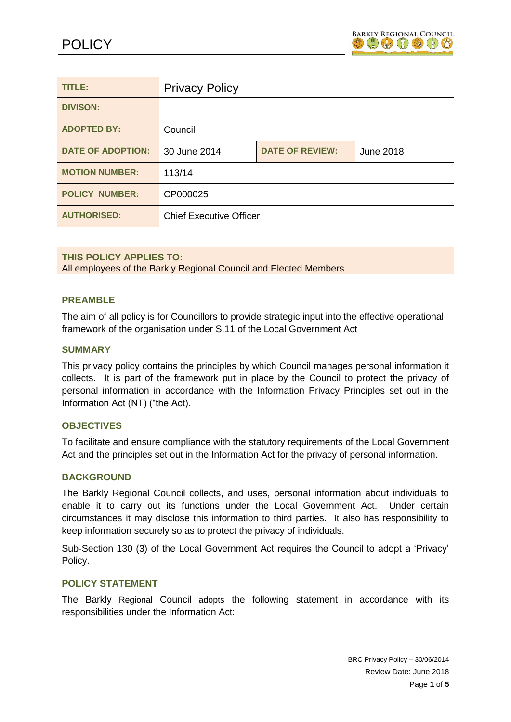

| <b>TITLE:</b>            | <b>Privacy Policy</b>          |                        |           |
|--------------------------|--------------------------------|------------------------|-----------|
| <b>DIVISON:</b>          |                                |                        |           |
| <b>ADOPTED BY:</b>       | Council                        |                        |           |
| <b>DATE OF ADOPTION:</b> | 30 June 2014                   | <b>DATE OF REVIEW:</b> | June 2018 |
| <b>MOTION NUMBER:</b>    | 113/14                         |                        |           |
| <b>POLICY NUMBER:</b>    | CP000025                       |                        |           |
| <b>AUTHORISED:</b>       | <b>Chief Executive Officer</b> |                        |           |

# **THIS POLICY APPLIES TO:**

All employees of the Barkly Regional Council and Elected Members

#### **PREAMBLE**

The aim of all policy is for Councillors to provide strategic input into the effective operational framework of the organisation under S.11 of the Local Government Act

#### **SUMMARY**

This privacy policy contains the principles by which Council manages personal information it collects. It is part of the framework put in place by the Council to protect the privacy of personal information in accordance with the Information Privacy Principles set out in the Information Act (NT) ("the Act).

#### **OBJECTIVES**

To facilitate and ensure compliance with the statutory requirements of the Local Government Act and the principles set out in the Information Act for the privacy of personal information.

#### **BACKGROUND**

The Barkly Regional Council collects, and uses, personal information about individuals to enable it to carry out its functions under the Local Government Act. Under certain circumstances it may disclose this information to third parties. It also has responsibility to keep information securely so as to protect the privacy of individuals.

Sub-Section 130 (3) of the Local Government Act requires the Council to adopt a 'Privacy' Policy.

#### **POLICY STATEMENT**

The Barkly Regional Council adopts the following statement in accordance with its responsibilities under the Information Act: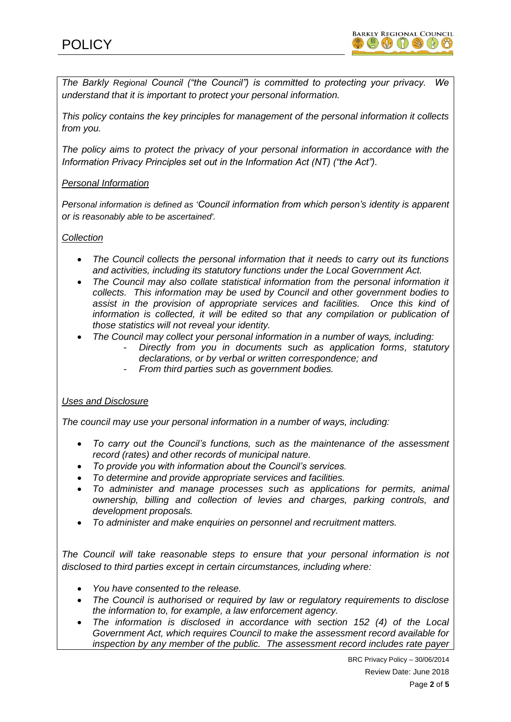*The Barkly Regional Council ("the Council") is committed to protecting your privacy. We understand that it is important to protect your personal information.*

*This policy contains the key principles for management of the personal information it collects from you.* 

*The policy aims to protect the privacy of your personal information in accordance with the Information Privacy Principles set out in the Information Act (NT) ("the Act").*

# *Personal Information*

*Personal information is defined as 'Council information from which person's identity is apparent or is reasonably able to be ascertained'.*

# *Collection*

- *The Council collects the personal information that it needs to carry out its functions and activities, including its statutory functions under the Local Government Act.*
- *The Council may also collate statistical information from the personal information it collects. This information may be used by Council and other government bodies to assist in the provision of appropriate services and facilities. Once this kind of*  information is collected, it will be edited so that any compilation or publication of *those statistics will not reveal your identity.*
- *The Council may collect your personal information in a number of ways, including:*
	- *Directly from you in documents such as application forms, statutory declarations, or by verbal or written correspondence; and*
	- *From third parties such as government bodies.*

# *Uses and Disclosure*

*The council may use your personal information in a number of ways, including:*

- *To carry out the Council's functions, such as the maintenance of the assessment record (rates) and other records of municipal nature.*
- *To provide you with information about the Council's services.*
- *To determine and provide appropriate services and facilities.*
- *To administer and manage processes such as applications for permits, animal ownership, billing and collection of levies and charges, parking controls, and development proposals.*
- *To administer and make enquiries on personnel and recruitment matters.*

*The Council will take reasonable steps to ensure that your personal information is not disclosed to third parties except in certain circumstances, including where:*

- *You have consented to the release.*
- *The Council is authorised or required by law or regulatory requirements to disclose the information to, for example, a law enforcement agency.*
- The information is disclosed in accordance with section 152 (4) of the Local *Government Act, which requires Council to make the assessment record available for inspection by any member of the public. The assessment record includes rate payer*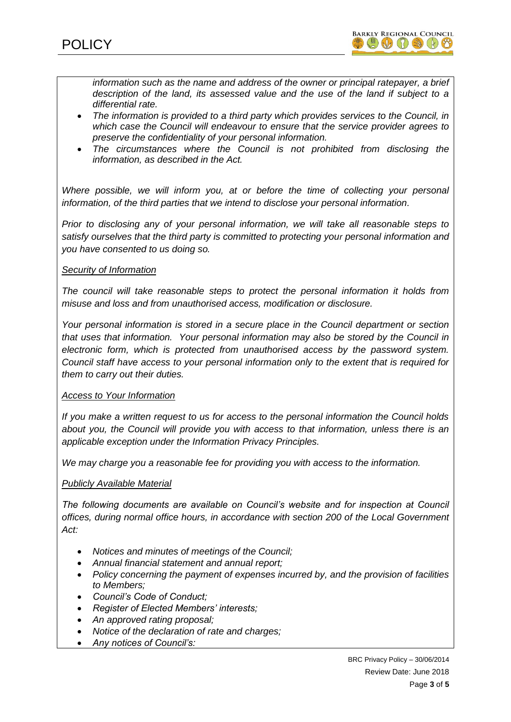*information such as the name and address of the owner or principal ratepayer, a brief description of the land, its assessed value and the use of the land if subject to a differential rate.*

- *The information is provided to a third party which provides services to the Council, in which case the Council will endeavour to ensure that the service provider agrees to preserve the confidentiality of your personal information.*
- The circumstances where the Council is not prohibited from disclosing the *information, as described in the Act.*

*Where possible, we will inform you, at or before the time of collecting your personal information, of the third parties that we intend to disclose your personal information.*

*Prior to disclosing any of your personal information, we will take all reasonable steps to satisfy ourselves that the third party is committed to protecting your personal information and you have consented to us doing so.*

# *Security of Information*

*The council will take reasonable steps to protect the personal information it holds from misuse and loss and from unauthorised access, modification or disclosure.*

*Your personal information is stored in a secure place in the Council department or section that uses that information. Your personal information may also be stored by the Council in electronic form, which is protected from unauthorised access by the password system. Council staff have access to your personal information only to the extent that is required for them to carry out their duties.*

# *Access to Your Information*

*If you make a written request to us for access to the personal information the Council holds about you, the Council will provide you with access to that information, unless there is an applicable exception under the Information Privacy Principles.*

*We may charge you a reasonable fee for providing you with access to the information.*

# *Publicly Available Material*

*The following documents are available on Council's website and for inspection at Council offices, during normal office hours, in accordance with section 200 of the Local Government Act:*

- *Notices and minutes of meetings of the Council;*
- *Annual financial statement and annual report;*
- *Policy concerning the payment of expenses incurred by, and the provision of facilities to Members;*
- *Council's Code of Conduct;*
- *Register of Elected Members' interests;*
- *An approved rating proposal;*
- *Notice of the declaration of rate and charges;*
- *Any notices of Council's:*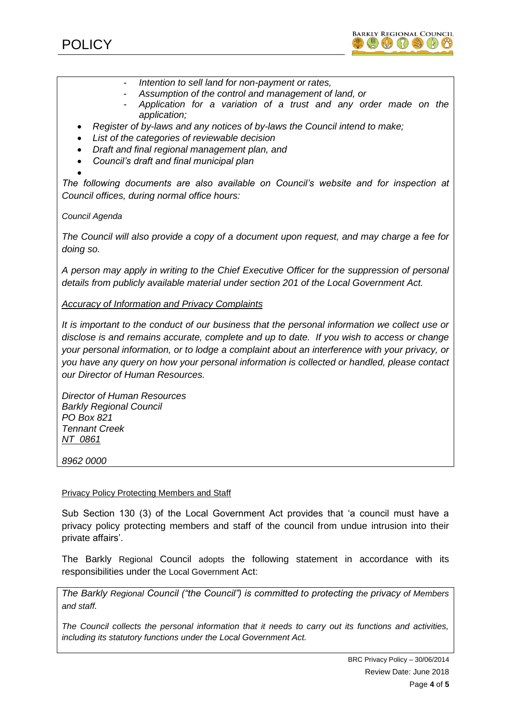



- *Intention to sell land for non-payment or rates,*
- *Assumption of the control and management of land, or*
- *Application for a variation of a trust and any order made on the application;*
- *Register of by-laws and any notices of by-laws the Council intend to make;*
- *List of the categories of reviewable decision*
- *Draft and final regional management plan, and*
- *Council's draft and final municipal plan*

 $\bullet$ *The following documents are also available on Council's website and for inspection at Council offices, during normal office hours:*

*Council Agenda*

*The Council will also provide a copy of a document upon request, and may charge a fee for doing so.*

*A person may apply in writing to the Chief Executive Officer for the suppression of personal details from publicly available material under section 201 of the Local Government Act.*

#### *Accuracy of Information and Privacy Complaints*

*It is important to the conduct of our business that the personal information we collect use or disclose is and remains accurate, complete and up to date. If you wish to access or change your personal information, or to lodge a complaint about an interference with your privacy, or you have any query on how your personal information is collected or handled, please contact our Director of Human Resources.*

*Director of Human Resources Barkly Regional Council PO Box 821 Tennant Creek NT 0861*

*8962 0000*

Privacy Policy Protecting Members and Staff

Sub Section 130 (3) of the Local Government Act provides that 'a council must have a privacy policy protecting members and staff of the council from undue intrusion into their private affairs'.

The Barkly Regional Council adopts the following statement in accordance with its responsibilities under the Local Government Act:

*The Barkly Regional Council ("the Council") is committed to protecting the privacy of Members and staff.* 

*The Council collects the personal information that it needs to carry out its functions and activities, including its statutory functions under the Local Government Act.*